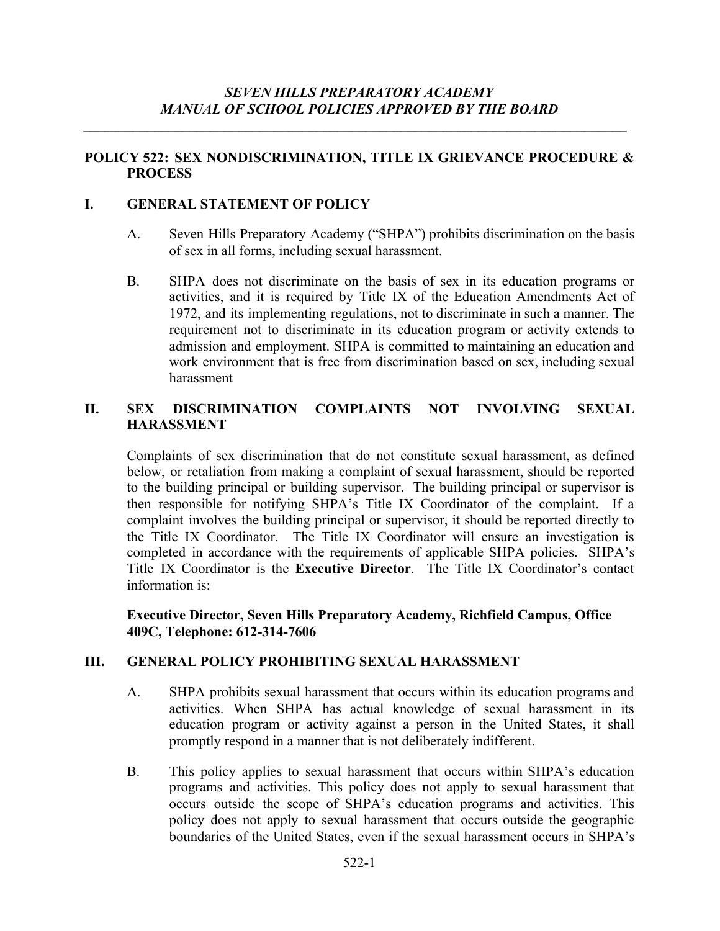*\_\_\_\_\_\_\_\_\_\_\_\_\_\_\_\_\_\_\_\_\_\_\_\_\_\_\_\_\_\_\_\_\_\_\_\_\_\_\_\_\_\_\_\_\_\_\_\_\_\_\_\_\_\_\_\_\_\_\_\_\_\_\_\_\_\_\_\_\_\_\_\_\_\_\_\_\_*

### **POLICY 522: SEX NONDISCRIMINATION, TITLE IX GRIEVANCE PROCEDURE & PROCESS**

### **I. GENERAL STATEMENT OF POLICY**

- A. Seven Hills Preparatory Academy ("SHPA") prohibits discrimination on the basis of sex in all forms, including sexual harassment.
- B. SHPA does not discriminate on the basis of sex in its education programs or activities, and it is required by Title IX of the Education Amendments Act of 1972, and its implementing regulations, not to discriminate in such a manner. The requirement not to discriminate in its education program or activity extends to admission and employment. SHPA is committed to maintaining an education and work environment that is free from discrimination based on sex, including sexual harassment

### **II. SEX DISCRIMINATION COMPLAINTS NOT INVOLVING SEXUAL HARASSMENT**

Complaints of sex discrimination that do not constitute sexual harassment, as defined below, or retaliation from making a complaint of sexual harassment, should be reported to the building principal or building supervisor. The building principal or supervisor is then responsible for notifying SHPA's Title IX Coordinator of the complaint. If a complaint involves the building principal or supervisor, it should be reported directly to the Title IX Coordinator. The Title IX Coordinator will ensure an investigation is completed in accordance with the requirements of applicable SHPA policies. SHPA's Title IX Coordinator is the **Executive Director**. The Title IX Coordinator's contact information is:

**Executive Director, Seven Hills Preparatory Academy, Richfield Campus, Office 409C, Telephone: 612-314-7606**

#### **III. GENERAL POLICY PROHIBITING SEXUAL HARASSMENT**

- A. SHPA prohibits sexual harassment that occurs within its education programs and activities. When SHPA has actual knowledge of sexual harassment in its education program or activity against a person in the United States, it shall promptly respond in a manner that is not deliberately indifferent.
- B. This policy applies to sexual harassment that occurs within SHPA's education programs and activities. This policy does not apply to sexual harassment that occurs outside the scope of SHPA's education programs and activities. This policy does not apply to sexual harassment that occurs outside the geographic boundaries of the United States, even if the sexual harassment occurs in SHPA's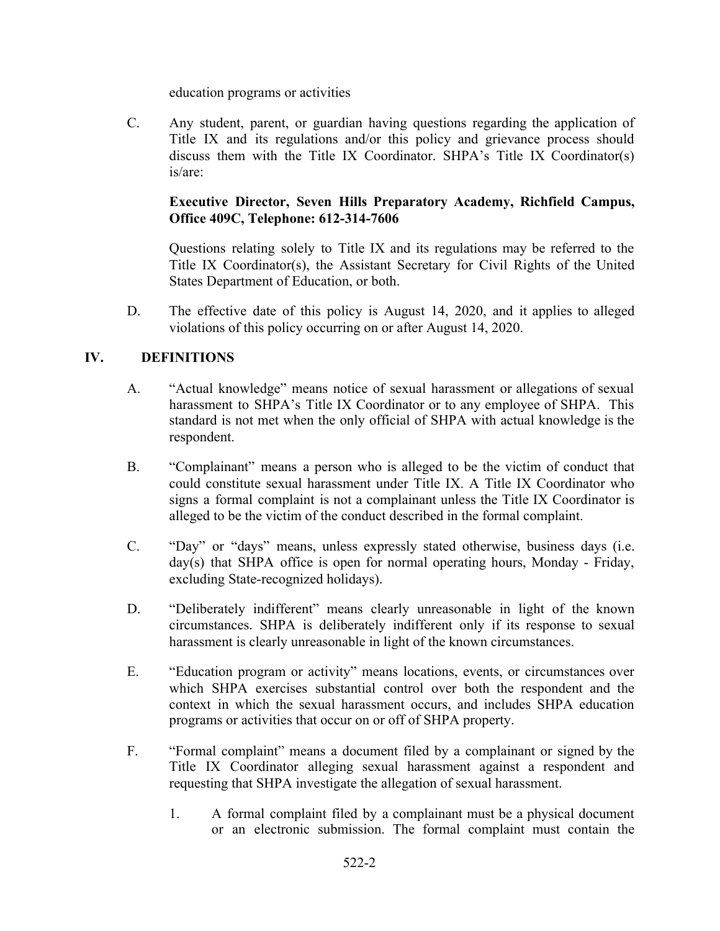education programs or activities

C. Any student, parent, or guardian having questions regarding the application of Title IX and its regulations and/or this policy and grievance process should discuss them with the Title IX Coordinator. SHPA's Title IX Coordinator(s) is/are:

## **Executive Director, Seven Hills Preparatory Academy, Richfield Campus, Office 409C, Telephone: 612-314-7606**

Questions relating solely to Title IX and its regulations may be referred to the Title IX Coordinator(s), the Assistant Secretary for Civil Rights of the United States Department of Education, or both.

D. The effective date of this policy is August 14, 2020, and it applies to alleged violations of this policy occurring on or after August 14, 2020.

## **IV. DEFINITIONS**

- A. "Actual knowledge" means notice of sexual harassment or allegations of sexual harassment to SHPA's Title IX Coordinator or to any employee of SHPA. This standard is not met when the only official of SHPA with actual knowledge is the respondent.
- B. "Complainant" means a person who is alleged to be the victim of conduct that could constitute sexual harassment under Title IX. A Title IX Coordinator who signs a formal complaint is not a complainant unless the Title IX Coordinator is alleged to be the victim of the conduct described in the formal complaint.
- C. "Day" or "days" means, unless expressly stated otherwise, business days (i.e. day(s) that SHPA office is open for normal operating hours, Monday - Friday, excluding State-recognized holidays).
- D. "Deliberately indifferent" means clearly unreasonable in light of the known circumstances. SHPA is deliberately indifferent only if its response to sexual harassment is clearly unreasonable in light of the known circumstances.
- E. "Education program or activity" means locations, events, or circumstances over which SHPA exercises substantial control over both the respondent and the context in which the sexual harassment occurs, and includes SHPA education programs or activities that occur on or off of SHPA property.
- F. "Formal complaint" means a document filed by a complainant or signed by the Title IX Coordinator alleging sexual harassment against a respondent and requesting that SHPA investigate the allegation of sexual harassment.
	- 1. A formal complaint filed by a complainant must be a physical document or an electronic submission. The formal complaint must contain the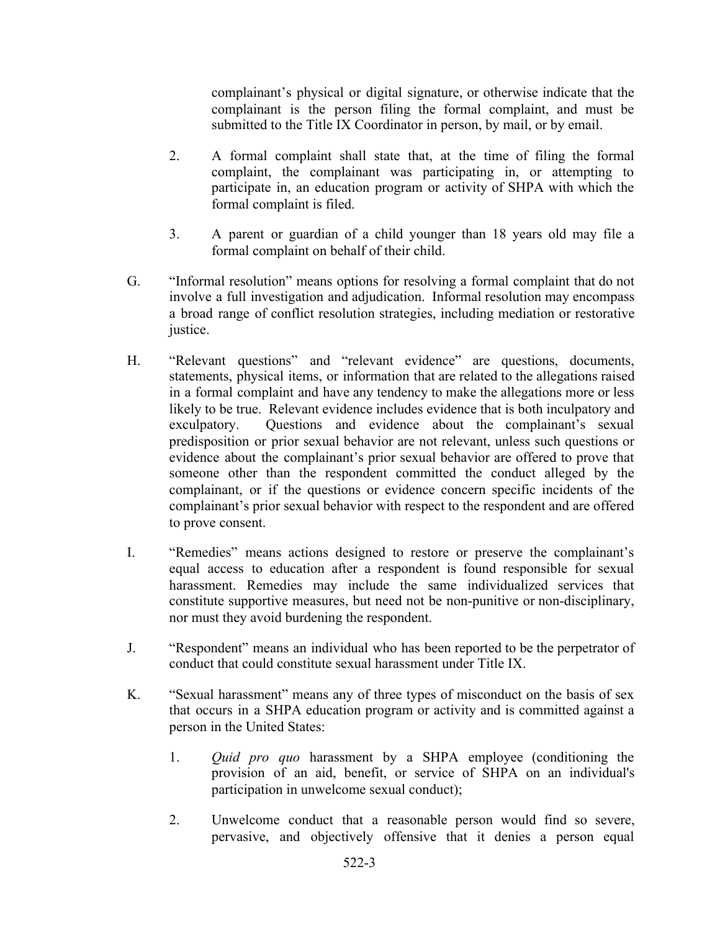complainant's physical or digital signature, or otherwise indicate that the complainant is the person filing the formal complaint, and must be submitted to the Title IX Coordinator in person, by mail, or by email.

- 2. A formal complaint shall state that, at the time of filing the formal complaint, the complainant was participating in, or attempting to participate in, an education program or activity of SHPA with which the formal complaint is filed.
- 3. A parent or guardian of a child younger than 18 years old may file a formal complaint on behalf of their child.
- G. "Informal resolution" means options for resolving a formal complaint that do not involve a full investigation and adjudication. Informal resolution may encompass a broad range of conflict resolution strategies, including mediation or restorative justice.
- H. "Relevant questions" and "relevant evidence" are questions, documents, statements, physical items, or information that are related to the allegations raised in a formal complaint and have any tendency to make the allegations more or less likely to be true. Relevant evidence includes evidence that is both inculpatory and exculpatory. Questions and evidence about the complainant's sexual predisposition or prior sexual behavior are not relevant, unless such questions or evidence about the complainant's prior sexual behavior are offered to prove that someone other than the respondent committed the conduct alleged by the complainant, or if the questions or evidence concern specific incidents of the complainant's prior sexual behavior with respect to the respondent and are offered to prove consent.
- I. "Remedies" means actions designed to restore or preserve the complainant's equal access to education after a respondent is found responsible for sexual harassment. Remedies may include the same individualized services that constitute supportive measures, but need not be non-punitive or non-disciplinary, nor must they avoid burdening the respondent.
- J. "Respondent" means an individual who has been reported to be the perpetrator of conduct that could constitute sexual harassment under Title IX.
- K. "Sexual harassment" means any of three types of misconduct on the basis of sex that occurs in a SHPA education program or activity and is committed against a person in the United States:
	- 1. *Quid pro quo* harassment by a SHPA employee (conditioning the provision of an aid, benefit, or service of SHPA on an individual's participation in unwelcome sexual conduct);
	- 2. Unwelcome conduct that a reasonable person would find so severe, pervasive, and objectively offensive that it denies a person equal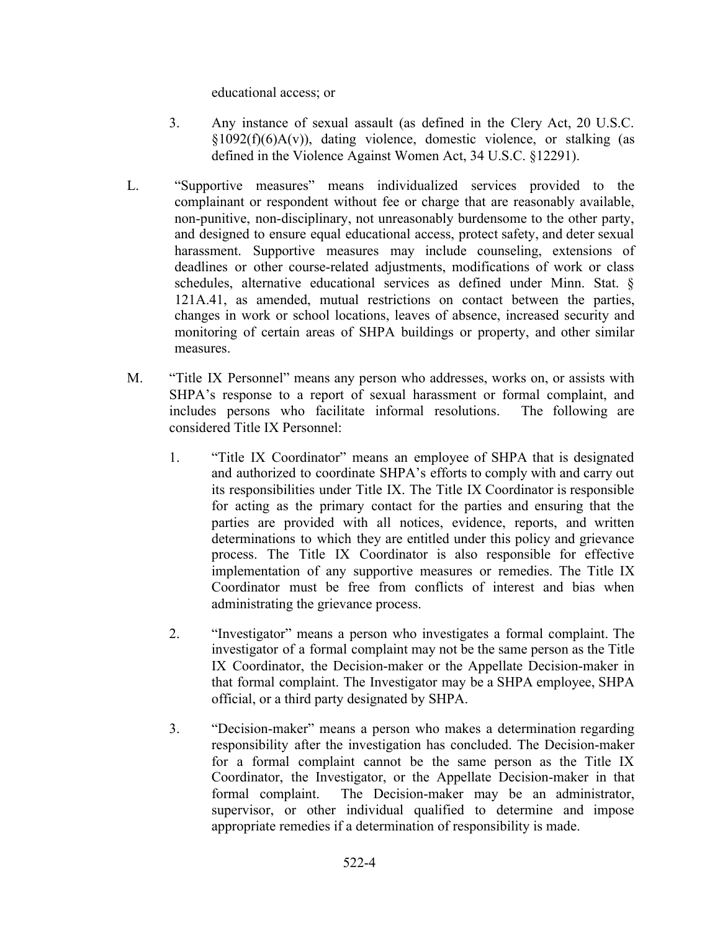educational access; or

- 3. Any instance of sexual assault (as defined in the Clery Act, 20 U.S.C.  $\S1092(f)(6)A(v)$ , dating violence, domestic violence, or stalking (as defined in the Violence Against Women Act, 34 U.S.C. §12291).
- L. "Supportive measures" means individualized services provided to the complainant or respondent without fee or charge that are reasonably available, non-punitive, non-disciplinary, not unreasonably burdensome to the other party, and designed to ensure equal educational access, protect safety, and deter sexual harassment. Supportive measures may include counseling, extensions of deadlines or other course-related adjustments, modifications of work or class schedules, alternative educational services as defined under Minn. Stat. § 121A.41, as amended, mutual restrictions on contact between the parties, changes in work or school locations, leaves of absence, increased security and monitoring of certain areas of SHPA buildings or property, and other similar measures.
- M. "Title IX Personnel" means any person who addresses, works on, or assists with SHPA's response to a report of sexual harassment or formal complaint, and includes persons who facilitate informal resolutions. The following are considered Title IX Personnel:
	- 1. "Title IX Coordinator" means an employee of SHPA that is designated and authorized to coordinate SHPA's efforts to comply with and carry out its responsibilities under Title IX. The Title IX Coordinator is responsible for acting as the primary contact for the parties and ensuring that the parties are provided with all notices, evidence, reports, and written determinations to which they are entitled under this policy and grievance process. The Title IX Coordinator is also responsible for effective implementation of any supportive measures or remedies. The Title IX Coordinator must be free from conflicts of interest and bias when administrating the grievance process.
	- 2. "Investigator" means a person who investigates a formal complaint. The investigator of a formal complaint may not be the same person as the Title IX Coordinator, the Decision-maker or the Appellate Decision-maker in that formal complaint. The Investigator may be a SHPA employee, SHPA official, or a third party designated by SHPA.
	- 3. "Decision-maker" means a person who makes a determination regarding responsibility after the investigation has concluded. The Decision-maker for a formal complaint cannot be the same person as the Title IX Coordinator, the Investigator, or the Appellate Decision-maker in that formal complaint. The Decision-maker may be an administrator, supervisor, or other individual qualified to determine and impose appropriate remedies if a determination of responsibility is made.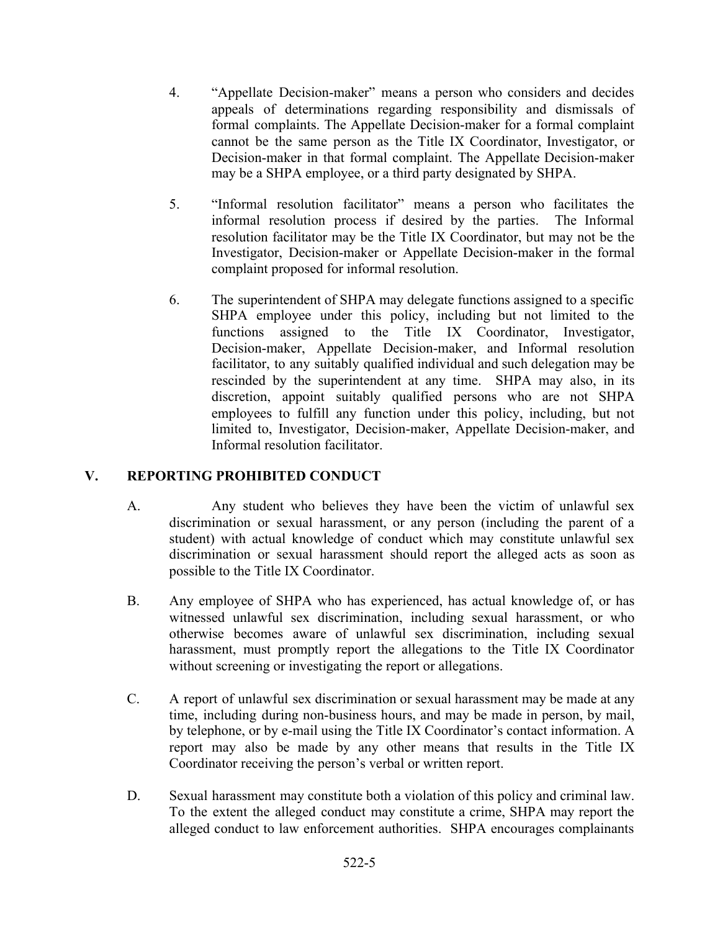- 4. "Appellate Decision-maker" means a person who considers and decides appeals of determinations regarding responsibility and dismissals of formal complaints. The Appellate Decision-maker for a formal complaint cannot be the same person as the Title IX Coordinator, Investigator, or Decision-maker in that formal complaint. The Appellate Decision-maker may be a SHPA employee, or a third party designated by SHPA.
- 5. "Informal resolution facilitator" means a person who facilitates the informal resolution process if desired by the parties. The Informal resolution facilitator may be the Title IX Coordinator, but may not be the Investigator, Decision-maker or Appellate Decision-maker in the formal complaint proposed for informal resolution.
- 6. The superintendent of SHPA may delegate functions assigned to a specific SHPA employee under this policy, including but not limited to the functions assigned to the Title IX Coordinator, Investigator, Decision-maker, Appellate Decision-maker, and Informal resolution facilitator, to any suitably qualified individual and such delegation may be rescinded by the superintendent at any time. SHPA may also, in its discretion, appoint suitably qualified persons who are not SHPA employees to fulfill any function under this policy, including, but not limited to, Investigator, Decision-maker, Appellate Decision-maker, and Informal resolution facilitator.

# **V. REPORTING PROHIBITED CONDUCT**

- A. Any student who believes they have been the victim of unlawful sex discrimination or sexual harassment, or any person (including the parent of a student) with actual knowledge of conduct which may constitute unlawful sex discrimination or sexual harassment should report the alleged acts as soon as possible to the Title IX Coordinator.
- B. Any employee of SHPA who has experienced, has actual knowledge of, or has witnessed unlawful sex discrimination, including sexual harassment, or who otherwise becomes aware of unlawful sex discrimination, including sexual harassment, must promptly report the allegations to the Title IX Coordinator without screening or investigating the report or allegations.
- C. A report of unlawful sex discrimination or sexual harassment may be made at any time, including during non-business hours, and may be made in person, by mail, by telephone, or by e-mail using the Title IX Coordinator's contact information. A report may also be made by any other means that results in the Title IX Coordinator receiving the person's verbal or written report.
- D. Sexual harassment may constitute both a violation of this policy and criminal law. To the extent the alleged conduct may constitute a crime, SHPA may report the alleged conduct to law enforcement authorities. SHPA encourages complainants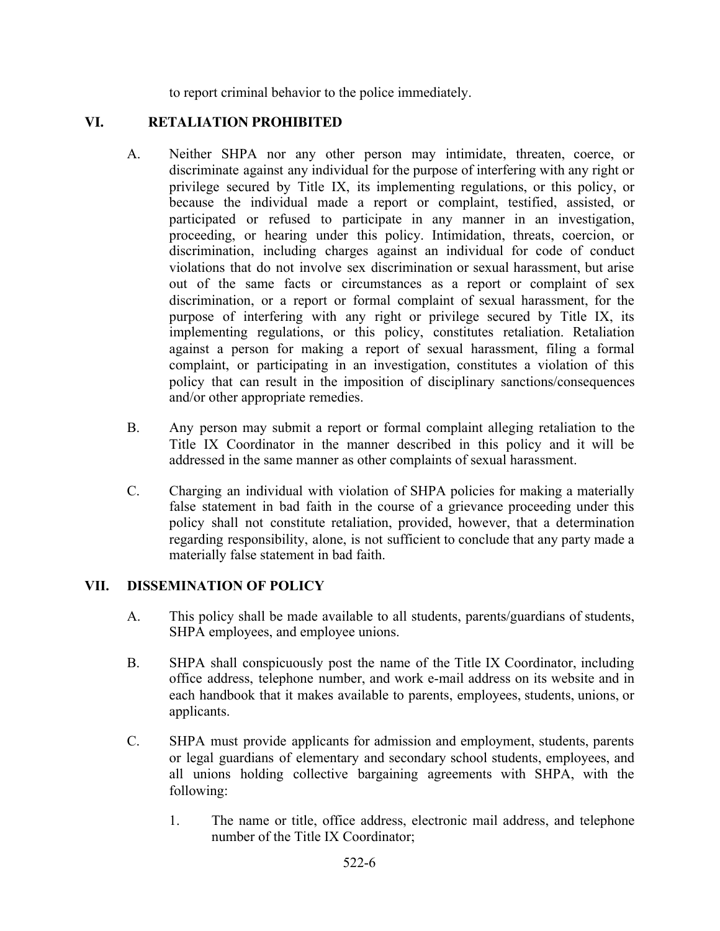to report criminal behavior to the police immediately.

## **VI. RETALIATION PROHIBITED**

- A. Neither SHPA nor any other person may intimidate, threaten, coerce, or discriminate against any individual for the purpose of interfering with any right or privilege secured by Title IX, its implementing regulations, or this policy, or because the individual made a report or complaint, testified, assisted, or participated or refused to participate in any manner in an investigation, proceeding, or hearing under this policy. Intimidation, threats, coercion, or discrimination, including charges against an individual for code of conduct violations that do not involve sex discrimination or sexual harassment, but arise out of the same facts or circumstances as a report or complaint of sex discrimination, or a report or formal complaint of sexual harassment, for the purpose of interfering with any right or privilege secured by Title IX, its implementing regulations, or this policy, constitutes retaliation. Retaliation against a person for making a report of sexual harassment, filing a formal complaint, or participating in an investigation, constitutes a violation of this policy that can result in the imposition of disciplinary sanctions/consequences and/or other appropriate remedies.
- B. Any person may submit a report or formal complaint alleging retaliation to the Title IX Coordinator in the manner described in this policy and it will be addressed in the same manner as other complaints of sexual harassment.
- C. Charging an individual with violation of SHPA policies for making a materially false statement in bad faith in the course of a grievance proceeding under this policy shall not constitute retaliation, provided, however, that a determination regarding responsibility, alone, is not sufficient to conclude that any party made a materially false statement in bad faith.

## **VII. DISSEMINATION OF POLICY**

- A. This policy shall be made available to all students, parents/guardians of students, SHPA employees, and employee unions.
- B. SHPA shall conspicuously post the name of the Title IX Coordinator, including office address, telephone number, and work e-mail address on its website and in each handbook that it makes available to parents, employees, students, unions, or applicants.
- C. SHPA must provide applicants for admission and employment, students, parents or legal guardians of elementary and secondary school students, employees, and all unions holding collective bargaining agreements with SHPA, with the following:
	- 1. The name or title, office address, electronic mail address, and telephone number of the Title IX Coordinator;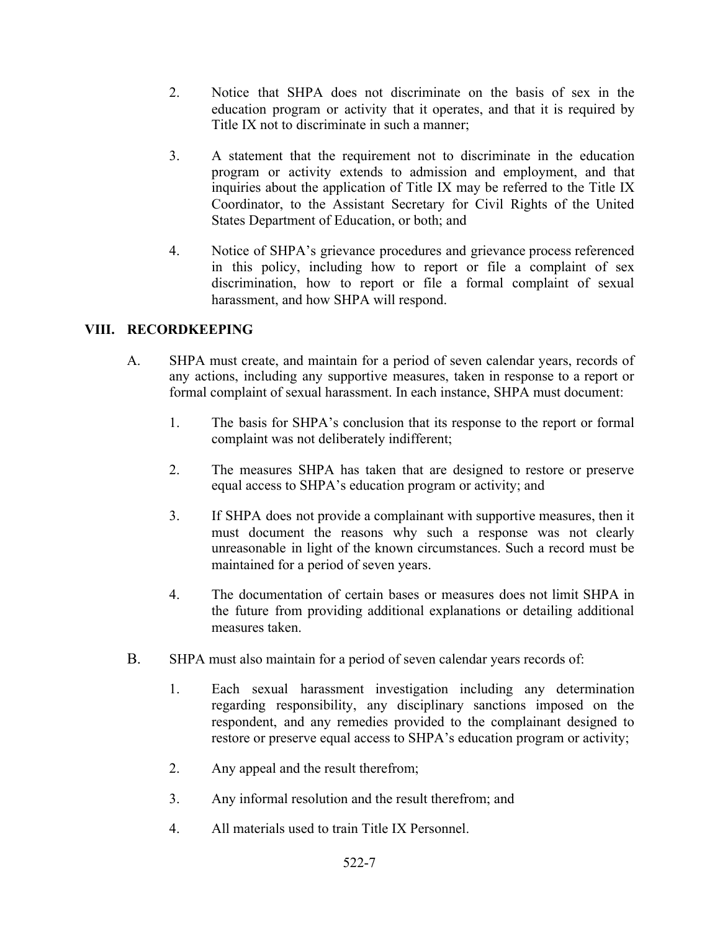- 2. Notice that SHPA does not discriminate on the basis of sex in the education program or activity that it operates, and that it is required by Title IX not to discriminate in such a manner;
- 3. A statement that the requirement not to discriminate in the education program or activity extends to admission and employment, and that inquiries about the application of Title IX may be referred to the Title IX Coordinator, to the Assistant Secretary for Civil Rights of the United States Department of Education, or both; and
- 4. Notice of SHPA's grievance procedures and grievance process referenced in this policy, including how to report or file a complaint of sex discrimination, how to report or file a formal complaint of sexual harassment, and how SHPA will respond.

## **VIII. RECORDKEEPING**

- A. SHPA must create, and maintain for a period of seven calendar years, records of any actions, including any supportive measures, taken in response to a report or formal complaint of sexual harassment. In each instance, SHPA must document:
	- 1. The basis for SHPA's conclusion that its response to the report or formal complaint was not deliberately indifferent;
	- 2. The measures SHPA has taken that are designed to restore or preserve equal access to SHPA's education program or activity; and
	- 3. If SHPA does not provide a complainant with supportive measures, then it must document the reasons why such a response was not clearly unreasonable in light of the known circumstances. Such a record must be maintained for a period of seven years.
	- 4. The documentation of certain bases or measures does not limit SHPA in the future from providing additional explanations or detailing additional measures taken.
- B. SHPA must also maintain for a period of seven calendar years records of:
	- 1. Each sexual harassment investigation including any determination regarding responsibility, any disciplinary sanctions imposed on the respondent, and any remedies provided to the complainant designed to restore or preserve equal access to SHPA's education program or activity;
	- 2. Any appeal and the result therefrom;
	- 3. Any informal resolution and the result therefrom; and
	- 4. All materials used to train Title IX Personnel.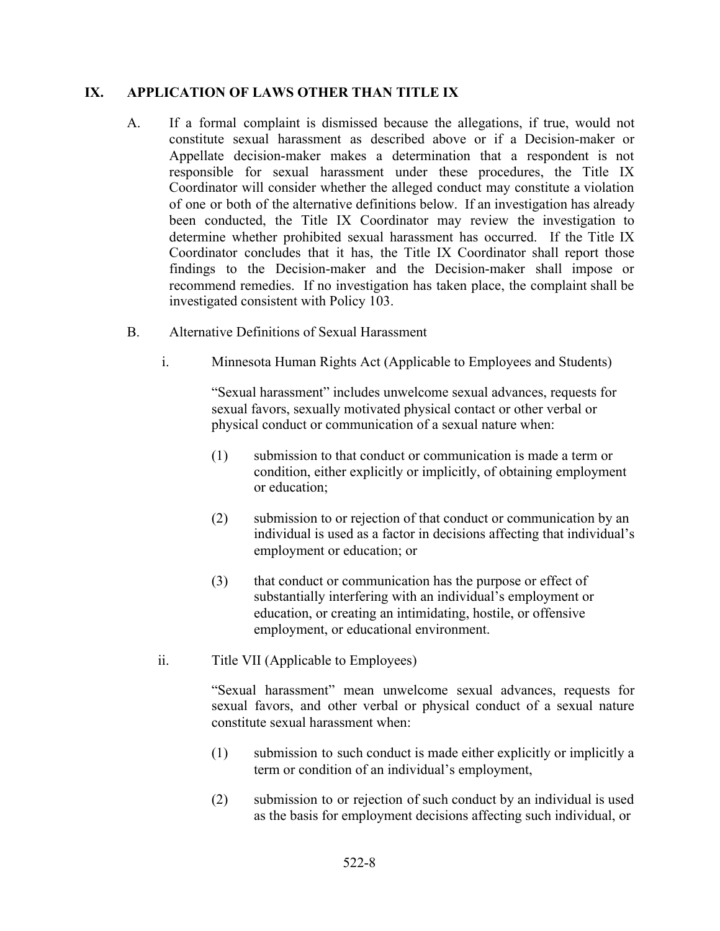#### **IX. APPLICATION OF LAWS OTHER THAN TITLE IX**

- A. If a formal complaint is dismissed because the allegations, if true, would not constitute sexual harassment as described above or if a Decision-maker or Appellate decision-maker makes a determination that a respondent is not responsible for sexual harassment under these procedures, the Title IX Coordinator will consider whether the alleged conduct may constitute a violation of one or both of the alternative definitions below. If an investigation has already been conducted, the Title IX Coordinator may review the investigation to determine whether prohibited sexual harassment has occurred. If the Title IX Coordinator concludes that it has, the Title IX Coordinator shall report those findings to the Decision-maker and the Decision-maker shall impose or recommend remedies. If no investigation has taken place, the complaint shall be investigated consistent with Policy 103.
- B. Alternative Definitions of Sexual Harassment
	- i. Minnesota Human Rights Act (Applicable to Employees and Students)

"Sexual harassment" includes unwelcome sexual advances, requests for sexual favors, sexually motivated physical contact or other verbal or physical conduct or communication of a sexual nature when:

- (1) submission to that conduct or communication is made a term or condition, either explicitly or implicitly, of obtaining employment or education;
- (2) submission to or rejection of that conduct or communication by an individual is used as a factor in decisions affecting that individual's employment or education; or
- (3) that conduct or communication has the purpose or effect of substantially interfering with an individual's employment or education, or creating an intimidating, hostile, or offensive employment, or educational environment.
- ii. Title VII (Applicable to Employees)

"Sexual harassment" mean unwelcome sexual advances, requests for sexual favors, and other verbal or physical conduct of a sexual nature constitute sexual harassment when:

- (1) submission to such conduct is made either explicitly or implicitly a term or condition of an individual's employment,
- (2) submission to or rejection of such conduct by an individual is used as the basis for employment decisions affecting such individual, or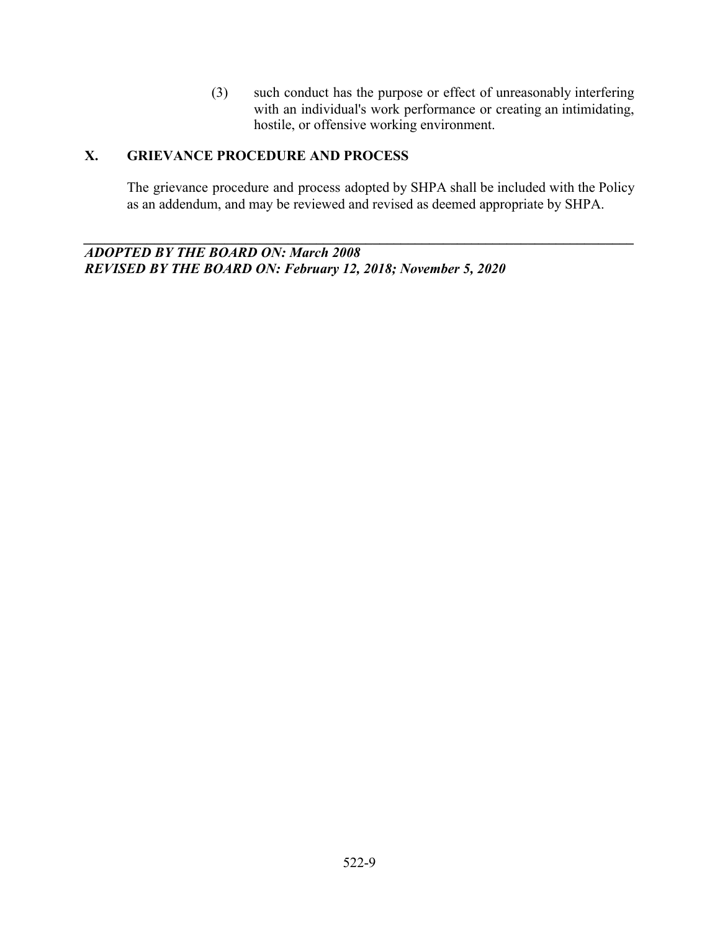(3) such conduct has the purpose or effect of unreasonably interfering with an individual's work performance or creating an intimidating, hostile, or offensive working environment.

# **X. GRIEVANCE PROCEDURE AND PROCESS**

The grievance procedure and process adopted by SHPA shall be included with the Policy as an addendum, and may be reviewed and revised as deemed appropriate by SHPA.

*\_\_\_\_\_\_\_\_\_\_\_\_\_\_\_\_\_\_\_\_\_\_\_\_\_\_\_\_\_\_\_\_\_\_\_\_\_\_\_\_\_\_\_\_\_\_\_\_\_\_\_\_\_\_\_\_\_\_\_\_\_\_\_\_\_\_\_\_\_\_\_\_\_\_\_\_\_\_*

*ADOPTED BY THE BOARD ON: March 2008 REVISED BY THE BOARD ON: February 12, 2018; November 5, 2020*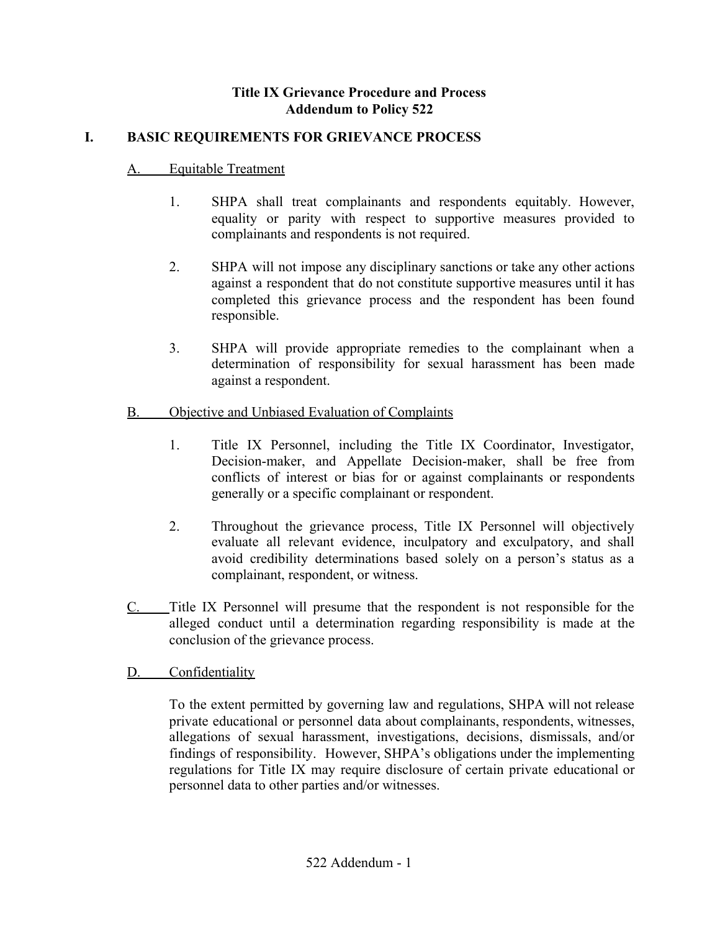# **Title IX Grievance Procedure and Process Addendum to Policy 522**

# **I. BASIC REQUIREMENTS FOR GRIEVANCE PROCESS**

## A. Equitable Treatment

- 1. SHPA shall treat complainants and respondents equitably. However, equality or parity with respect to supportive measures provided to complainants and respondents is not required.
- 2. SHPA will not impose any disciplinary sanctions or take any other actions against a respondent that do not constitute supportive measures until it has completed this grievance process and the respondent has been found responsible.
- 3. SHPA will provide appropriate remedies to the complainant when a determination of responsibility for sexual harassment has been made against a respondent.

# B. Objective and Unbiased Evaluation of Complaints

- 1. Title IX Personnel, including the Title IX Coordinator, Investigator, Decision-maker, and Appellate Decision-maker, shall be free from conflicts of interest or bias for or against complainants or respondents generally or a specific complainant or respondent.
- 2. Throughout the grievance process, Title IX Personnel will objectively evaluate all relevant evidence, inculpatory and exculpatory, and shall avoid credibility determinations based solely on a person's status as a complainant, respondent, or witness.
- C. Title IX Personnel will presume that the respondent is not responsible for the alleged conduct until a determination regarding responsibility is made at the conclusion of the grievance process.
- D. Confidentiality

To the extent permitted by governing law and regulations, SHPA will not release private educational or personnel data about complainants, respondents, witnesses, allegations of sexual harassment, investigations, decisions, dismissals, and/or findings of responsibility. However, SHPA's obligations under the implementing regulations for Title IX may require disclosure of certain private educational or personnel data to other parties and/or witnesses.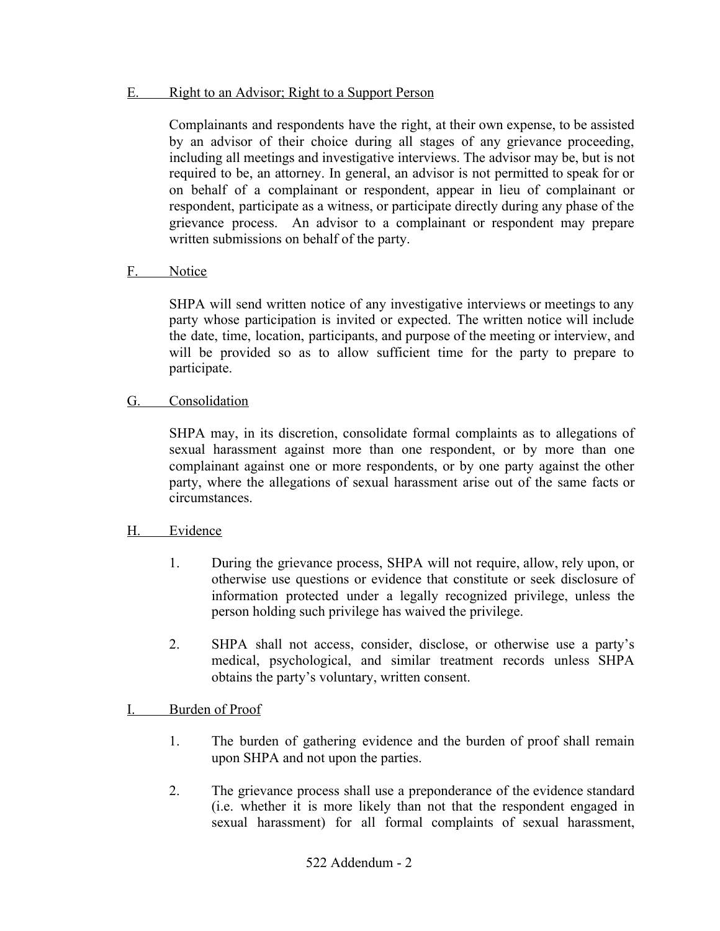#### E. Right to an Advisor; Right to a Support Person

Complainants and respondents have the right, at their own expense, to be assisted by an advisor of their choice during all stages of any grievance proceeding, including all meetings and investigative interviews. The advisor may be, but is not required to be, an attorney. In general, an advisor is not permitted to speak for or on behalf of a complainant or respondent, appear in lieu of complainant or respondent, participate as a witness, or participate directly during any phase of the grievance process. An advisor to a complainant or respondent may prepare written submissions on behalf of the party.

#### F. Notice

SHPA will send written notice of any investigative interviews or meetings to any party whose participation is invited or expected. The written notice will include the date, time, location, participants, and purpose of the meeting or interview, and will be provided so as to allow sufficient time for the party to prepare to participate.

#### G. Consolidation

SHPA may, in its discretion, consolidate formal complaints as to allegations of sexual harassment against more than one respondent, or by more than one complainant against one or more respondents, or by one party against the other party, where the allegations of sexual harassment arise out of the same facts or circumstances.

## H. Evidence

- 1. During the grievance process, SHPA will not require, allow, rely upon, or otherwise use questions or evidence that constitute or seek disclosure of information protected under a legally recognized privilege, unless the person holding such privilege has waived the privilege.
- 2. SHPA shall not access, consider, disclose, or otherwise use a party's medical, psychological, and similar treatment records unless SHPA obtains the party's voluntary, written consent.

## I. Burden of Proof

- 1. The burden of gathering evidence and the burden of proof shall remain upon SHPA and not upon the parties.
- 2. The grievance process shall use a preponderance of the evidence standard (i.e. whether it is more likely than not that the respondent engaged in sexual harassment) for all formal complaints of sexual harassment,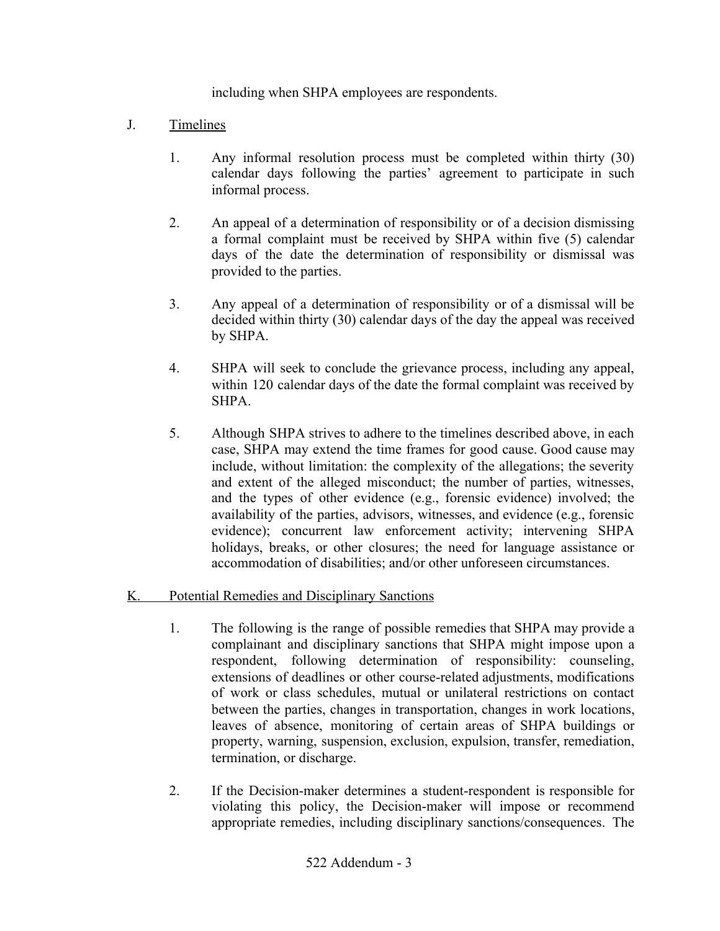including when SHPA employees are respondents.

- J. Timelines
	- 1. Any informal resolution process must be completed within thirty (30) calendar days following the parties' agreement to participate in such informal process.
	- 2. An appeal of a determination of responsibility or of a decision dismissing a formal complaint must be received by SHPA within five (5) calendar days of the date the determination of responsibility or dismissal was provided to the parties.
	- 3. Any appeal of a determination of responsibility or of a dismissal will be decided within thirty (30) calendar days of the day the appeal was received by SHPA.
	- 4. SHPA will seek to conclude the grievance process, including any appeal, within 120 calendar days of the date the formal complaint was received by SHPA.
	- 5. Although SHPA strives to adhere to the timelines described above, in each case, SHPA may extend the time frames for good cause. Good cause may include, without limitation: the complexity of the allegations; the severity and extent of the alleged misconduct; the number of parties, witnesses, and the types of other evidence (e.g., forensic evidence) involved; the availability of the parties, advisors, witnesses, and evidence (e.g., forensic evidence); concurrent law enforcement activity; intervening SHPA holidays, breaks, or other closures; the need for language assistance or accommodation of disabilities; and/or other unforeseen circumstances.

## K. Potential Remedies and Disciplinary Sanctions

- 1. The following is the range of possible remedies that SHPA may provide a complainant and disciplinary sanctions that SHPA might impose upon a respondent, following determination of responsibility: counseling, extensions of deadlines or other course-related adjustments, modifications of work or class schedules, mutual or unilateral restrictions on contact between the parties, changes in transportation, changes in work locations, leaves of absence, monitoring of certain areas of SHPA buildings or property, warning, suspension, exclusion, expulsion, transfer, remediation, termination, or discharge.
- 2. If the Decision-maker determines a student-respondent is responsible for violating this policy, the Decision-maker will impose or recommend appropriate remedies, including disciplinary sanctions/consequences. The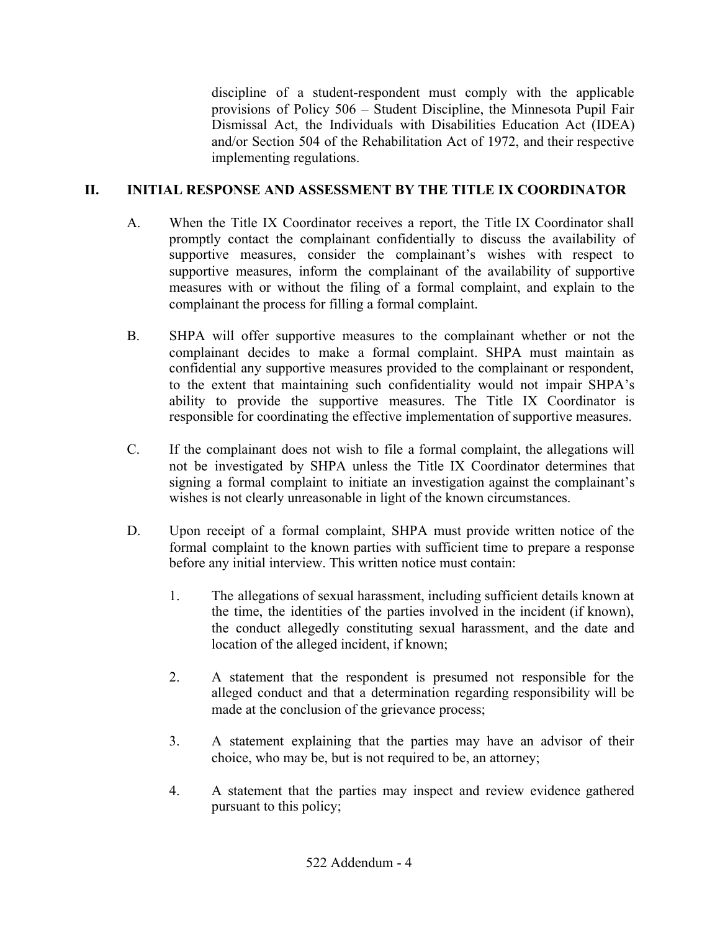discipline of a student-respondent must comply with the applicable provisions of Policy 506 – Student Discipline, the Minnesota Pupil Fair Dismissal Act, the Individuals with Disabilities Education Act (IDEA) and/or Section 504 of the Rehabilitation Act of 1972, and their respective implementing regulations.

# **II. INITIAL RESPONSE AND ASSESSMENT BY THE TITLE IX COORDINATOR**

- A. When the Title IX Coordinator receives a report, the Title IX Coordinator shall promptly contact the complainant confidentially to discuss the availability of supportive measures, consider the complainant's wishes with respect to supportive measures, inform the complainant of the availability of supportive measures with or without the filing of a formal complaint, and explain to the complainant the process for filling a formal complaint.
- B. SHPA will offer supportive measures to the complainant whether or not the complainant decides to make a formal complaint. SHPA must maintain as confidential any supportive measures provided to the complainant or respondent, to the extent that maintaining such confidentiality would not impair SHPA's ability to provide the supportive measures. The Title IX Coordinator is responsible for coordinating the effective implementation of supportive measures.
- C. If the complainant does not wish to file a formal complaint, the allegations will not be investigated by SHPA unless the Title IX Coordinator determines that signing a formal complaint to initiate an investigation against the complainant's wishes is not clearly unreasonable in light of the known circumstances.
- D. Upon receipt of a formal complaint, SHPA must provide written notice of the formal complaint to the known parties with sufficient time to prepare a response before any initial interview. This written notice must contain:
	- 1. The allegations of sexual harassment, including sufficient details known at the time, the identities of the parties involved in the incident (if known), the conduct allegedly constituting sexual harassment, and the date and location of the alleged incident, if known;
	- 2. A statement that the respondent is presumed not responsible for the alleged conduct and that a determination regarding responsibility will be made at the conclusion of the grievance process;
	- 3. A statement explaining that the parties may have an advisor of their choice, who may be, but is not required to be, an attorney;
	- 4. A statement that the parties may inspect and review evidence gathered pursuant to this policy;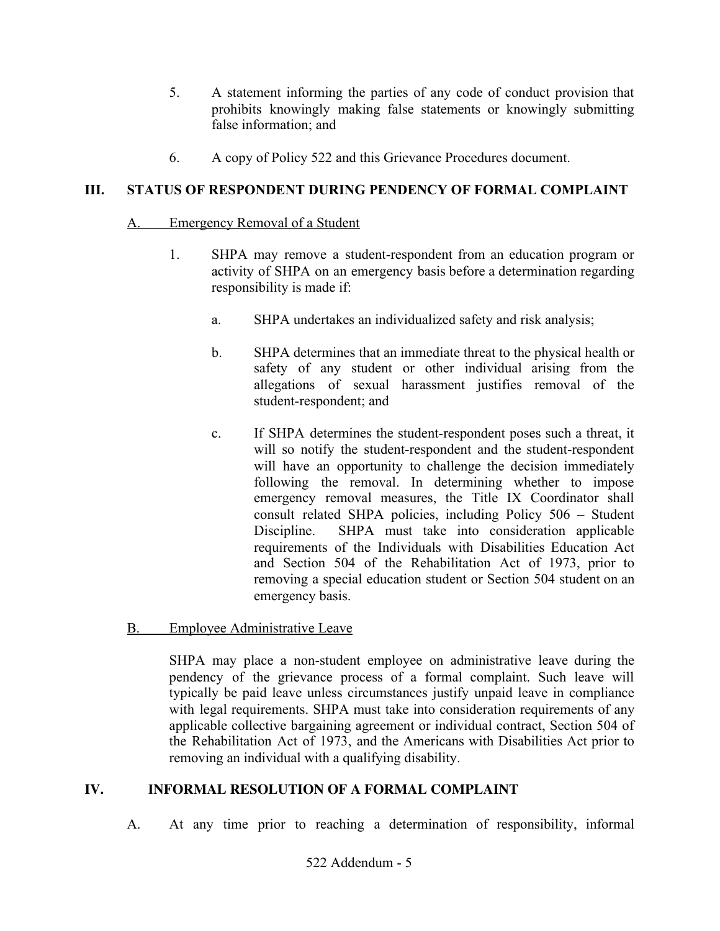- 5. A statement informing the parties of any code of conduct provision that prohibits knowingly making false statements or knowingly submitting false information; and
- 6. A copy of Policy 522 and this Grievance Procedures document.

# **III. STATUS OF RESPONDENT DURING PENDENCY OF FORMAL COMPLAINT**

## A. Emergency Removal of a Student

- 1. SHPA may remove a student-respondent from an education program or activity of SHPA on an emergency basis before a determination regarding responsibility is made if:
	- a. SHPA undertakes an individualized safety and risk analysis;
	- b. SHPA determines that an immediate threat to the physical health or safety of any student or other individual arising from the allegations of sexual harassment justifies removal of the student-respondent; and
	- c. If SHPA determines the student-respondent poses such a threat, it will so notify the student-respondent and the student-respondent will have an opportunity to challenge the decision immediately following the removal. In determining whether to impose emergency removal measures, the Title IX Coordinator shall consult related SHPA policies, including Policy 506 – Student Discipline. SHPA must take into consideration applicable requirements of the Individuals with Disabilities Education Act and Section 504 of the Rehabilitation Act of 1973, prior to removing a special education student or Section 504 student on an emergency basis.
- B. Employee Administrative Leave

SHPA may place a non-student employee on administrative leave during the pendency of the grievance process of a formal complaint. Such leave will typically be paid leave unless circumstances justify unpaid leave in compliance with legal requirements. SHPA must take into consideration requirements of any applicable collective bargaining agreement or individual contract, Section 504 of the Rehabilitation Act of 1973, and the Americans with Disabilities Act prior to removing an individual with a qualifying disability.

# **IV. INFORMAL RESOLUTION OF A FORMAL COMPLAINT**

A. At any time prior to reaching a determination of responsibility, informal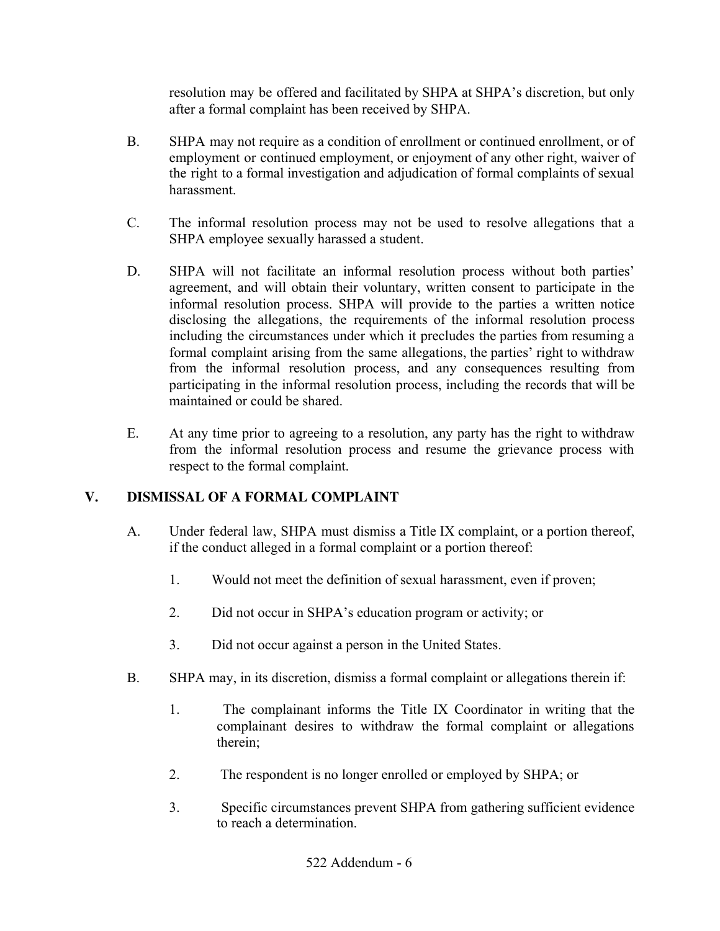resolution may be offered and facilitated by SHPA at SHPA's discretion, but only after a formal complaint has been received by SHPA.

- B. SHPA may not require as a condition of enrollment or continued enrollment, or of employment or continued employment, or enjoyment of any other right, waiver of the right to a formal investigation and adjudication of formal complaints of sexual harassment.
- C. The informal resolution process may not be used to resolve allegations that a SHPA employee sexually harassed a student.
- D. SHPA will not facilitate an informal resolution process without both parties' agreement, and will obtain their voluntary, written consent to participate in the informal resolution process. SHPA will provide to the parties a written notice disclosing the allegations, the requirements of the informal resolution process including the circumstances under which it precludes the parties from resuming a formal complaint arising from the same allegations, the parties' right to withdraw from the informal resolution process, and any consequences resulting from participating in the informal resolution process, including the records that will be maintained or could be shared.
- E. At any time prior to agreeing to a resolution, any party has the right to withdraw from the informal resolution process and resume the grievance process with respect to the formal complaint.

# **V. DISMISSAL OF A FORMAL COMPLAINT**

- A. Under federal law, SHPA must dismiss a Title IX complaint, or a portion thereof, if the conduct alleged in a formal complaint or a portion thereof:
	- 1. Would not meet the definition of sexual harassment, even if proven;
	- 2. Did not occur in SHPA's education program or activity; or
	- 3. Did not occur against a person in the United States.
- B. SHPA may, in its discretion, dismiss a formal complaint or allegations therein if:
	- 1. The complainant informs the Title IX Coordinator in writing that the complainant desires to withdraw the formal complaint or allegations therein;
	- 2. The respondent is no longer enrolled or employed by SHPA; or
	- 3. Specific circumstances prevent SHPA from gathering sufficient evidence to reach a determination.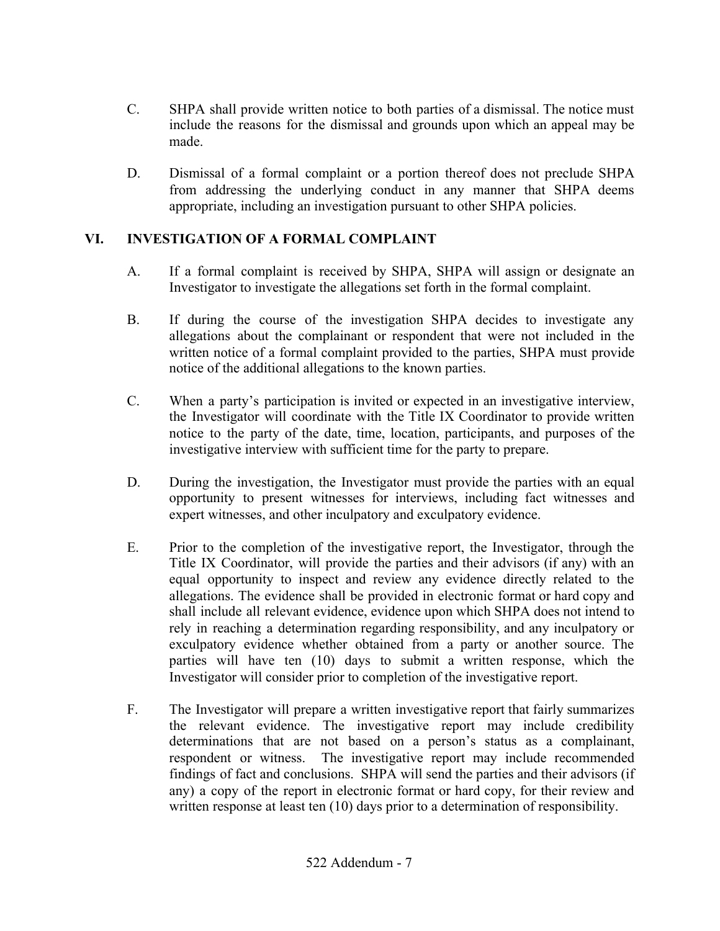- C. SHPA shall provide written notice to both parties of a dismissal. The notice must include the reasons for the dismissal and grounds upon which an appeal may be made.
- D. Dismissal of a formal complaint or a portion thereof does not preclude SHPA from addressing the underlying conduct in any manner that SHPA deems appropriate, including an investigation pursuant to other SHPA policies.

# **VI. INVESTIGATION OF A FORMAL COMPLAINT**

- A. If a formal complaint is received by SHPA, SHPA will assign or designate an Investigator to investigate the allegations set forth in the formal complaint.
- B. If during the course of the investigation SHPA decides to investigate any allegations about the complainant or respondent that were not included in the written notice of a formal complaint provided to the parties, SHPA must provide notice of the additional allegations to the known parties.
- C. When a party's participation is invited or expected in an investigative interview, the Investigator will coordinate with the Title IX Coordinator to provide written notice to the party of the date, time, location, participants, and purposes of the investigative interview with sufficient time for the party to prepare.
- D. During the investigation, the Investigator must provide the parties with an equal opportunity to present witnesses for interviews, including fact witnesses and expert witnesses, and other inculpatory and exculpatory evidence.
- E. Prior to the completion of the investigative report, the Investigator, through the Title IX Coordinator, will provide the parties and their advisors (if any) with an equal opportunity to inspect and review any evidence directly related to the allegations. The evidence shall be provided in electronic format or hard copy and shall include all relevant evidence, evidence upon which SHPA does not intend to rely in reaching a determination regarding responsibility, and any inculpatory or exculpatory evidence whether obtained from a party or another source. The parties will have ten (10) days to submit a written response, which the Investigator will consider prior to completion of the investigative report.
- F. The Investigator will prepare a written investigative report that fairly summarizes the relevant evidence. The investigative report may include credibility determinations that are not based on a person's status as a complainant, respondent or witness. The investigative report may include recommended findings of fact and conclusions. SHPA will send the parties and their advisors (if any) a copy of the report in electronic format or hard copy, for their review and written response at least ten (10) days prior to a determination of responsibility.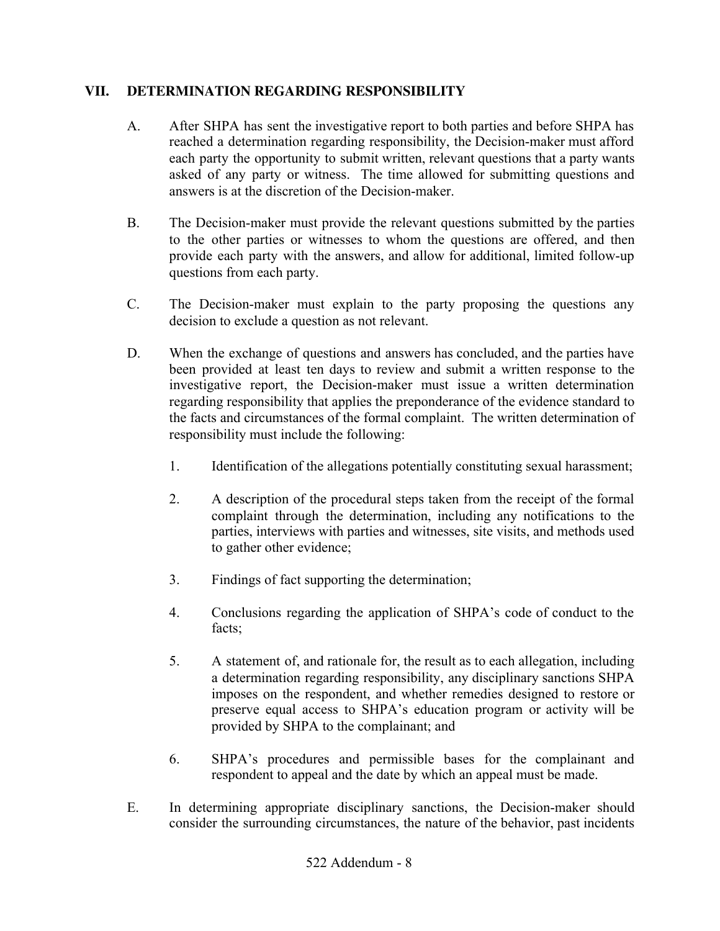# **VII. DETERMINATION REGARDING RESPONSIBILITY**

- A. After SHPA has sent the investigative report to both parties and before SHPA has reached a determination regarding responsibility, the Decision-maker must afford each party the opportunity to submit written, relevant questions that a party wants asked of any party or witness. The time allowed for submitting questions and answers is at the discretion of the Decision-maker.
- B. The Decision-maker must provide the relevant questions submitted by the parties to the other parties or witnesses to whom the questions are offered, and then provide each party with the answers, and allow for additional, limited follow-up questions from each party.
- C. The Decision-maker must explain to the party proposing the questions any decision to exclude a question as not relevant.
- D. When the exchange of questions and answers has concluded, and the parties have been provided at least ten days to review and submit a written response to the investigative report, the Decision-maker must issue a written determination regarding responsibility that applies the preponderance of the evidence standard to the facts and circumstances of the formal complaint. The written determination of responsibility must include the following:
	- 1. Identification of the allegations potentially constituting sexual harassment;
	- 2. A description of the procedural steps taken from the receipt of the formal complaint through the determination, including any notifications to the parties, interviews with parties and witnesses, site visits, and methods used to gather other evidence;
	- 3. Findings of fact supporting the determination;
	- 4. Conclusions regarding the application of SHPA's code of conduct to the facts;
	- 5. A statement of, and rationale for, the result as to each allegation, including a determination regarding responsibility, any disciplinary sanctions SHPA imposes on the respondent, and whether remedies designed to restore or preserve equal access to SHPA's education program or activity will be provided by SHPA to the complainant; and
	- 6. SHPA's procedures and permissible bases for the complainant and respondent to appeal and the date by which an appeal must be made.
- E. In determining appropriate disciplinary sanctions, the Decision-maker should consider the surrounding circumstances, the nature of the behavior, past incidents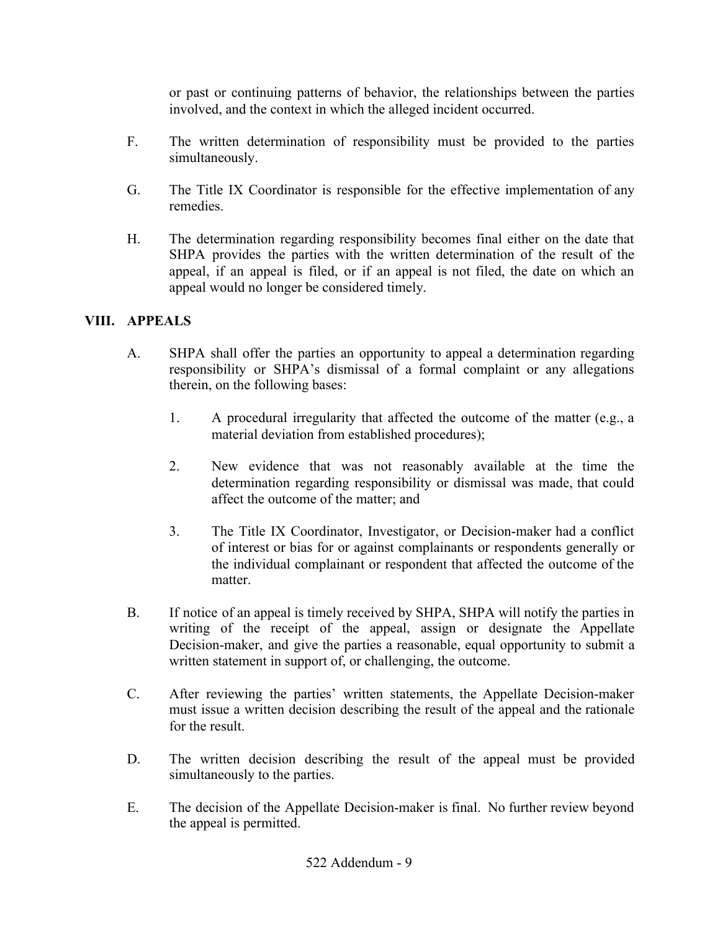or past or continuing patterns of behavior, the relationships between the parties involved, and the context in which the alleged incident occurred.

- F. The written determination of responsibility must be provided to the parties simultaneously.
- G. The Title IX Coordinator is responsible for the effective implementation of any remedies.
- H. The determination regarding responsibility becomes final either on the date that SHPA provides the parties with the written determination of the result of the appeal, if an appeal is filed, or if an appeal is not filed, the date on which an appeal would no longer be considered timely.

# **VIII. APPEALS**

- A. SHPA shall offer the parties an opportunity to appeal a determination regarding responsibility or SHPA's dismissal of a formal complaint or any allegations therein, on the following bases:
	- 1. A procedural irregularity that affected the outcome of the matter (e.g., a material deviation from established procedures);
	- 2. New evidence that was not reasonably available at the time the determination regarding responsibility or dismissal was made, that could affect the outcome of the matter; and
	- 3. The Title IX Coordinator, Investigator, or Decision-maker had a conflict of interest or bias for or against complainants or respondents generally or the individual complainant or respondent that affected the outcome of the matter.
- B. If notice of an appeal is timely received by SHPA, SHPA will notify the parties in writing of the receipt of the appeal, assign or designate the Appellate Decision-maker, and give the parties a reasonable, equal opportunity to submit a written statement in support of, or challenging, the outcome.
- C. After reviewing the parties' written statements, the Appellate Decision-maker must issue a written decision describing the result of the appeal and the rationale for the result.
- D. The written decision describing the result of the appeal must be provided simultaneously to the parties.
- E. The decision of the Appellate Decision-maker is final. No further review beyond the appeal is permitted.